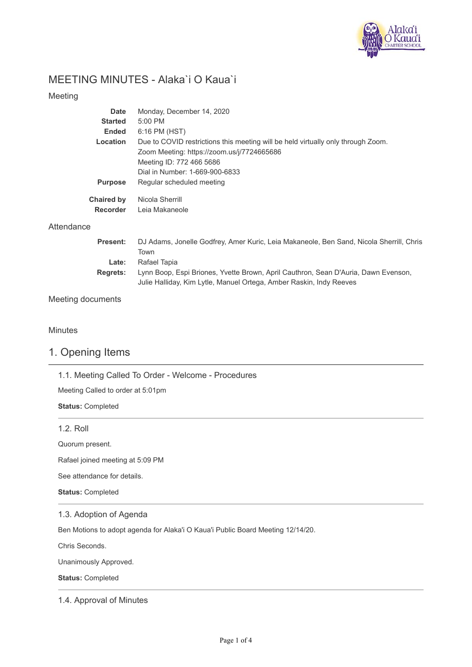

# MEETING MINUTES - Alaka`i O Kaua`i

### Meeting

| Date              | Monday, December 14, 2020                                                        |
|-------------------|----------------------------------------------------------------------------------|
| <b>Started</b>    | $5:00$ PM                                                                        |
| <b>Ended</b>      | 6:16 PM (HST)                                                                    |
| Location          | Due to COVID restrictions this meeting will be held virtually only through Zoom. |
|                   | Zoom Meeting: https://zoom.us/j/7724665686                                       |
|                   | Meeting ID: 772 466 5686                                                         |
|                   | Dial in Number: 1-669-900-6833                                                   |
| <b>Purpose</b>    | Regular scheduled meeting                                                        |
| <b>Chaired by</b> | Nicola Sherrill                                                                  |
| <b>Recorder</b>   | Leia Makaneole                                                                   |
|                   |                                                                                  |

## **Attendance**

| <b>Present:</b> | DJ Adams, Jonelle Godfrey, Amer Kuric, Leia Makaneole, Ben Sand, Nicola Sherrill, Chris |
|-----------------|-----------------------------------------------------------------------------------------|
|                 | Town                                                                                    |
| Late:           | Rafael Tapia                                                                            |
| <b>Regrets:</b> | Lynn Boop, Espi Briones, Yvette Brown, April Cauthron, Sean D'Auria, Dawn Evenson,      |
|                 | Julie Halliday, Kim Lytle, Manuel Ortega, Amber Raskin, Indy Reeves                     |

## Meeting documents

### **Minutes**

## 1. Opening Items

1.1. Meeting Called To Order - Welcome - Procedures

Meeting Called to order at 5:01pm

**Status:** Completed

### 1.2. Roll

Quorum present.

Rafael joined meeting at 5:09 PM

See attendance for details.

**Status:** Completed

### 1.3. Adoption of Agenda

Ben Motions to adopt agenda for Alaka'i O Kaua'i Public Board Meeting 12/14/20.

Chris Seconds.

Unanimously Approved.

**Status:** Completed

### 1.4. Approval of Minutes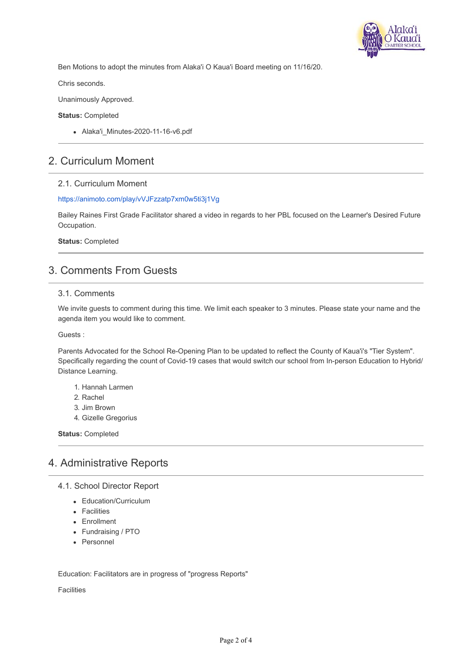

Ben Motions to adopt the minutes from Alaka'i O Kaua'i Board meeting on 11/16/20.

Chris seconds.

Unanimously Approved.

#### **Status:** Completed

• Alaka'i Minutes-2020-11-16-v6.pdf

## 2. Curriculum Moment

### 2.1. Curriculum Moment

#### <https://animoto.com/play/vVJFzzatp7xm0w5ti3j1Vg>

Bailey Raines First Grade Facilitator shared a video in regards to her PBL focused on the Learner's Desired Future Occupation.

**Status:** Completed

# 3. Comments From Guests

### 3.1. Comments

We invite guests to comment during this time. We limit each speaker to 3 minutes. Please state your name and the agenda item you would like to comment.

Guests :

Parents Advocated for the School Re-Opening Plan to be updated to reflect the County of Kaua'i's "Tier System". Specifically regarding the count of Covid-19 cases that would switch our school from In-person Education to Hybrid/ Distance Learning.

- 1. Hannah Larmen
- 2. Rachel
- 3. Jim Brown
- 4. Gizelle Gregorius

**Status:** Completed

## 4. Administrative Reports

- 4.1. School Director Report
	- Education/Curriculum
	- **•** Facilities
	- Enrollment
	- Fundraising / PTO
	- Personnel

Education: Facilitators are in progress of "progress Reports"

Facilities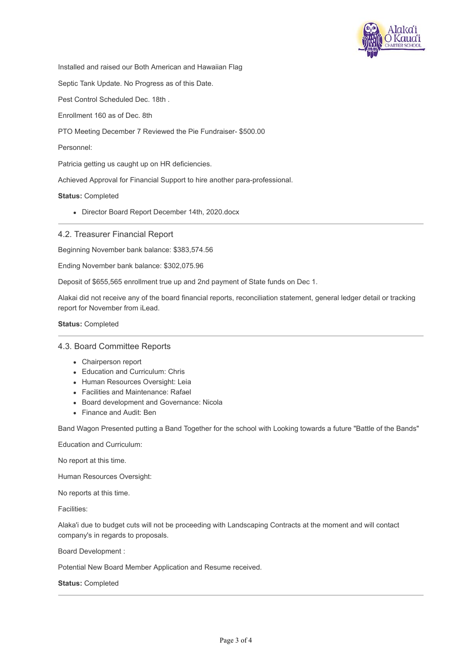

Installed and raised our Both American and Hawaiian Flag

Septic Tank Update. No Progress as of this Date.

Pest Control Scheduled Dec. 18th .

Enrollment 160 as of Dec. 8th

PTO Meeting December 7 Reviewed the Pie Fundraiser- \$500.00

Personnel:

Patricia getting us caught up on HR deficiencies.

Achieved Approval for Financial Support to hire another para-professional.

**Status:** Completed

Director Board Report December 14th, 2020.docx

#### 4.2. Treasurer Financial Report

Beginning November bank balance: \$383,574.56

Ending November bank balance: \$302,075.96

Deposit of \$655,565 enrollment true up and 2nd payment of State funds on Dec 1.

Alakai did not receive any of the board financial reports, reconciliation statement, general ledger detail or tracking report for November from iLead.

**Status:** Completed

#### 4.3. Board Committee Reports

- Chairperson report
- Education and Curriculum: Chris
- Human Resources Oversight: Leia
- Facilities and Maintenance: Rafael
- Board development and Governance: Nicola
- Finance and Audit: Ben

Band Wagon Presented putting a Band Together for the school with Looking towards a future "Battle of the Bands"

Education and Curriculum:

No report at this time.

Human Resources Oversight:

No reports at this time.

Facilities:

Alaka'i due to budget cuts will not be proceeding with Landscaping Contracts at the moment and will contact company's in regards to proposals.

Board Development :

Potential New Board Member Application and Resume received.

**Status:** Completed